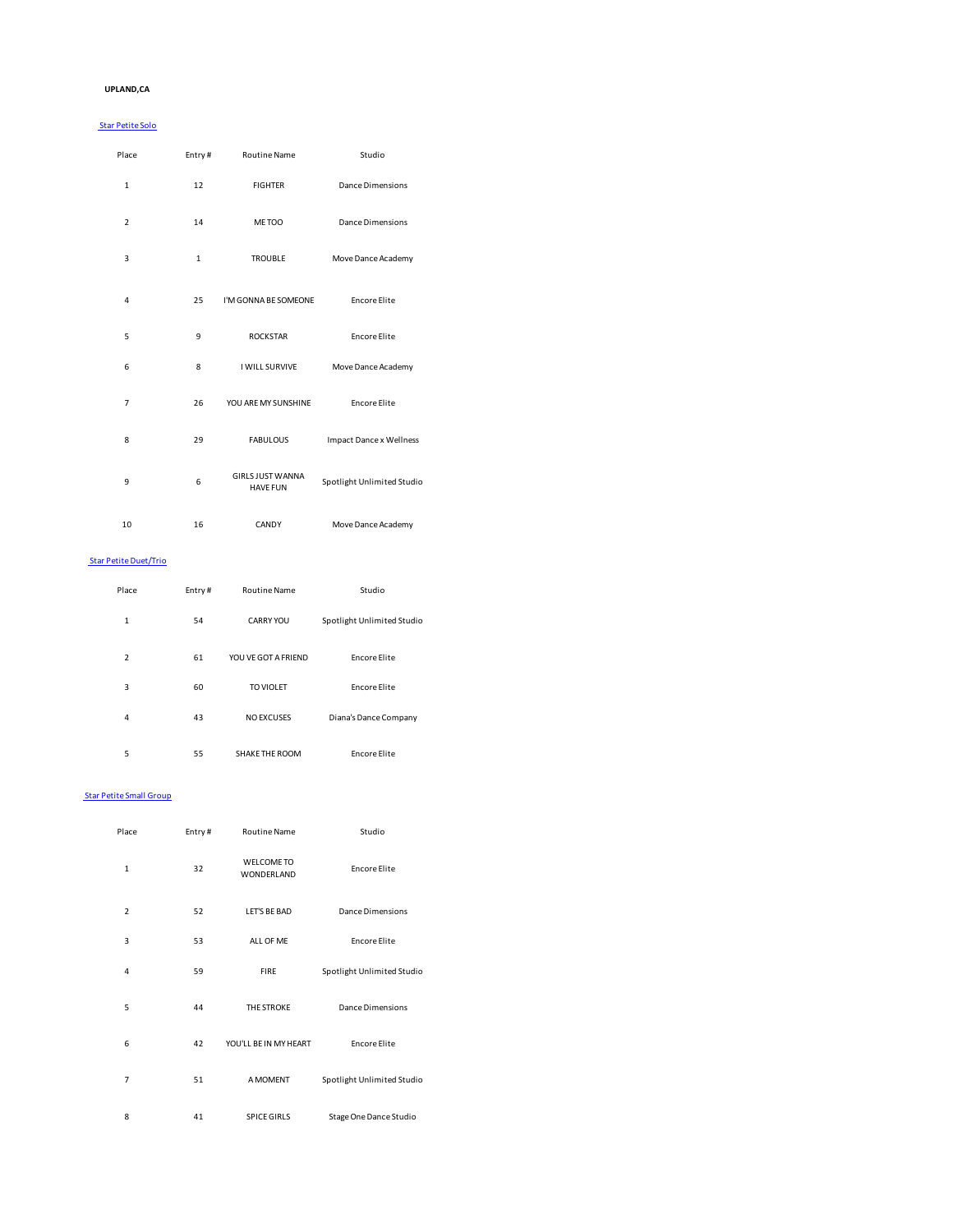#### **UPLAND,CA**

## Star Petite Solo

| Place          | Entry#       | <b>Routine Name</b>                        | Studio                         |
|----------------|--------------|--------------------------------------------|--------------------------------|
| $\mathbf{1}$   | 12           | <b>FIGHTER</b>                             | Dance Dimensions               |
| $\overline{2}$ | 14           | ME TOO                                     | <b>Dance Dimensions</b>        |
| 3              | $\mathbf{1}$ | <b>TROUBLE</b>                             | Move Dance Academy             |
| $\overline{4}$ | 25           | I'M GONNA BE SOMEONE                       | <b>Encore Elite</b>            |
| 5              | 9            | <b>ROCKSTAR</b>                            | <b>Encore Elite</b>            |
| 6              | 8            | I WILL SURVIVE                             | Move Dance Academy             |
| $\overline{7}$ | 26           | YOU ARE MY SUNSHINE                        | <b>Encore Elite</b>            |
| 8              | 29           | <b>FABULOUS</b>                            | <b>Impact Dance x Wellness</b> |
| 9              | 6            | <b>GIRLS JUST WANNA</b><br><b>HAVE FUN</b> | Spotlight Unlimited Studio     |
| 10             | 16           | CANDY                                      | Move Dance Academy             |

## Star Petite Duet/Trio

| Place                    | Entry# | <b>Routine Name</b> | Studio                     |
|--------------------------|--------|---------------------|----------------------------|
| $\mathbf{1}$             | 54     | <b>CARRY YOU</b>    | Spotlight Unlimited Studio |
| $\overline{\phantom{a}}$ | 61     | YOU VE GOT A FRIEND | <b>Encore Elite</b>        |
| 3                        | 60     | <b>TO VIOLET</b>    | <b>Encore Elite</b>        |
| 4                        | 43     | <b>NO EXCUSES</b>   | Diana's Dance Company      |
| 5                        | 55     | SHAKE THE ROOM      | <b>Encore Elite</b>        |

#### Star Petite Small Group

| Place          | Entry# | <b>Routine Name</b>      | Studio                     |
|----------------|--------|--------------------------|----------------------------|
| $\mathbf{1}$   | 32     | WELCOME TO<br>WONDERLAND | <b>Encore Elite</b>        |
| $\overline{2}$ | 52     | LET'S BE BAD             | Dance Dimensions           |
| 3              | 53     | ALL OF ME                | <b>Encore Elite</b>        |
| $\overline{4}$ | 59     | <b>FIRE</b>              | Spotlight Unlimited Studio |
| 5              | 44     | <b>THE STROKE</b>        | Dance Dimensions           |
| 6              | 42     | YOU'LL BE IN MY HEART    | <b>Encore Elite</b>        |
| $\overline{7}$ | 51     | A MOMENT                 | Spotlight Unlimited Studio |
| 8              | 41     | <b>SPICE GIRLS</b>       | Stage One Dance Studio     |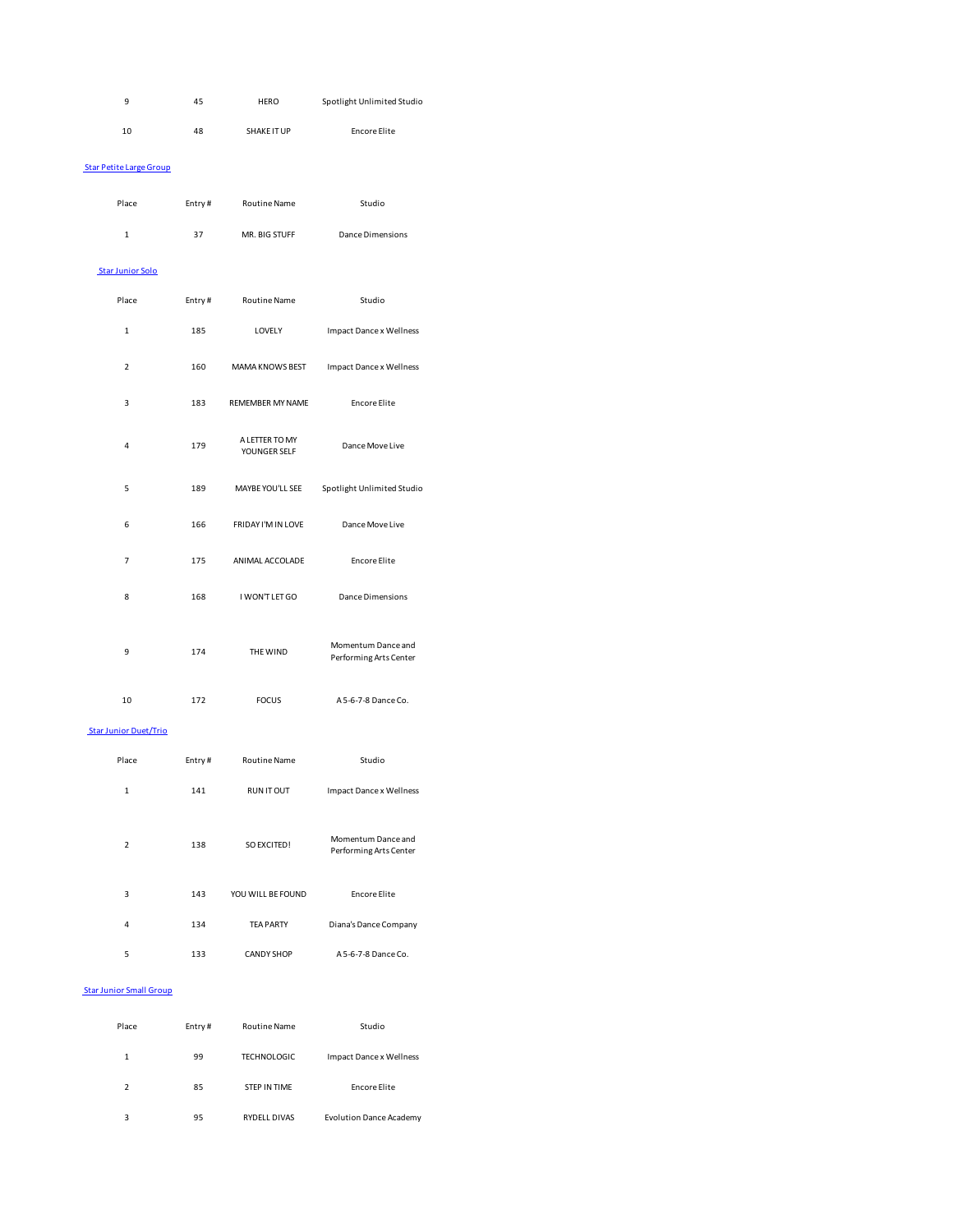| 9                              | 45     | <b>HERO</b>                    | Spotlight Unlimited Studio     |
|--------------------------------|--------|--------------------------------|--------------------------------|
| 10                             | 48     | SHAKE IT UP                    | <b>Encore Elite</b>            |
| <b>Star Petite Large Group</b> |        |                                |                                |
| Place                          | Entry# | <b>Routine Name</b>            | Studio                         |
| $\mathbf{1}$                   | 37     | MR. BIG STUFF                  | <b>Dance Dimensions</b>        |
| <b>Star Junior Solo</b>        |        |                                |                                |
| Place                          | Entry# | <b>Routine Name</b>            | Studio                         |
| $\mathbf{1}$                   | 185    | LOVELY                         | <b>Impact Dance x Wellness</b> |
| $\overline{2}$                 | 160    | <b>MAMA KNOWS BEST</b>         | <b>Impact Dance x Wellness</b> |
| 3                              | 183    | <b>REMEMBER MY NAME</b>        | <b>Encore Elite</b>            |
| 4                              | 179    | A LETTER TO MY<br>YOUNGER SELF | Dance Move Live                |
| 5                              | 189    | MAYBE YOU'LL SEE               | Spotlight Unlimited Studio     |
| 6.                             | 166    | <b>ERIDAY I'M IN LOVE</b>      | Dance Move Live                |

| ь | TPP | <b>FRIDAY FM IN LOVE</b> | Dance Move Live                              |
|---|-----|--------------------------|----------------------------------------------|
| 7 | 175 | ANIMAL ACCOLADE          | <b>Encore Elite</b>                          |
| 8 | 168 | I WON'T LET GO           | Dance Dimensions                             |
| 9 | 174 | THE WIND                 | Momentum Dance and<br>Performing Arts Center |

| 10 | 172 | <b>FOCUS</b> | A 5-6-7-8 Dance Co. |
|----|-----|--------------|---------------------|
|    |     |              |                     |

#### Star Junior Duet/Trio

| Place                    | Entry# | <b>Routine Name</b> | Studio                                       |
|--------------------------|--------|---------------------|----------------------------------------------|
| $\mathbf{1}$             | 141    | <b>RUN IT OUT</b>   | Impact Dance x Wellness                      |
| $\overline{\phantom{a}}$ | 138    | SO EXCITED!         | Momentum Dance and<br>Performing Arts Center |
| 3                        | 143    | YOU WILL BE FOUND   | <b>Encore Elite</b>                          |
| 4                        | 134    | <b>TEA PARTY</b>    | Diana's Dance Company                        |
| 5                        | 133    | <b>CANDY SHOP</b>   | A 5-6-7-8 Dance Co.                          |

#### Star Junior Small Group

| Place          | Entry# | <b>Routine Name</b> | Studio                         |
|----------------|--------|---------------------|--------------------------------|
| 1              | 99     | TECHNOLOGIC         | Impact Dance x Wellness        |
| $\mathfrak{p}$ | 85     | <b>STEP IN TIME</b> | <b>Encore Elite</b>            |
| 3              | 95     | <b>RYDELL DIVAS</b> | <b>Evolution Dance Academy</b> |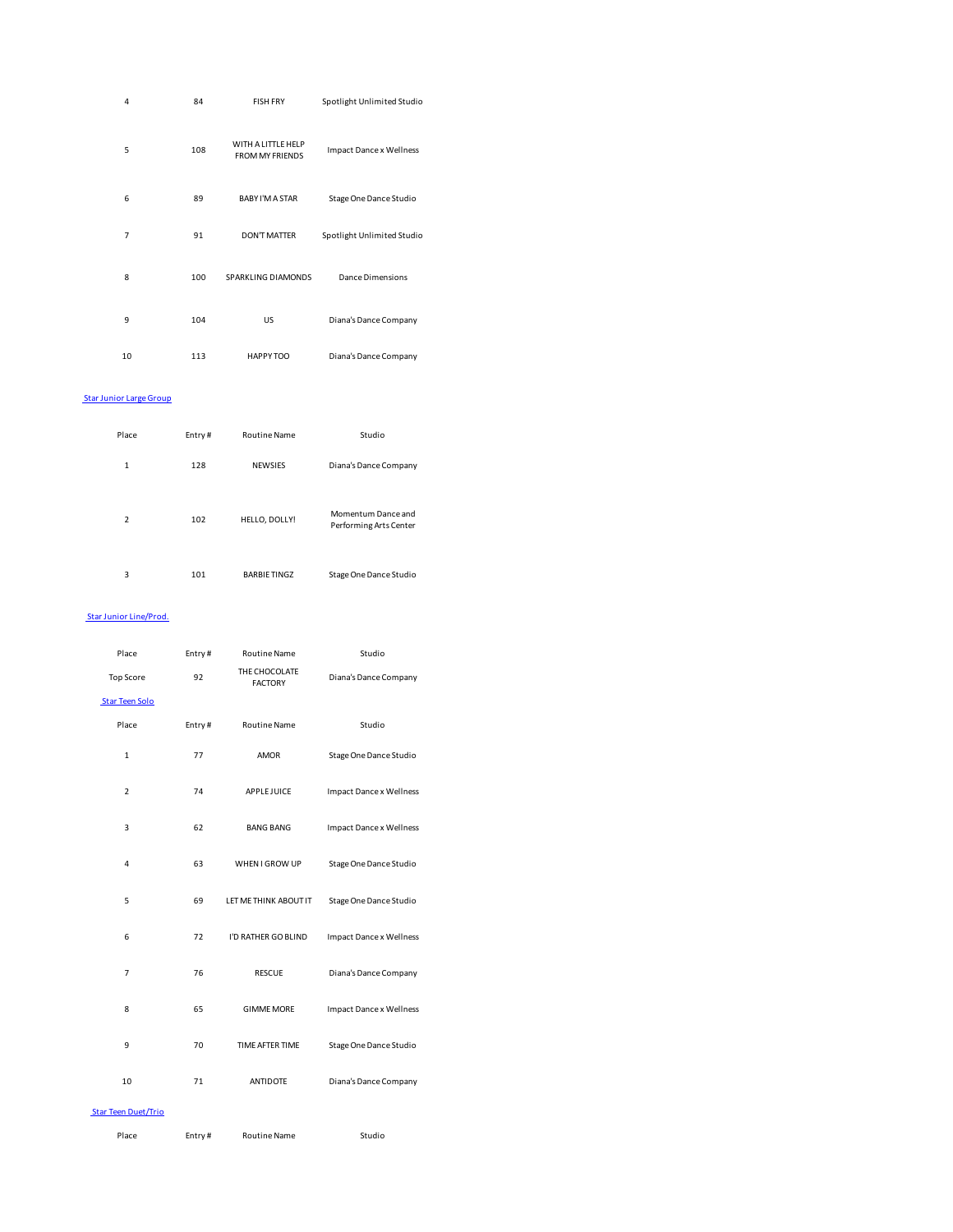| 4              | 84  | <b>FISH FRY</b>                              | Spotlight Unlimited Studio |
|----------------|-----|----------------------------------------------|----------------------------|
| 5              | 108 | WITH A LITTLE HELP<br><b>FROM MY FRIENDS</b> | Impact Dance x Wellness    |
| 6              | 89  | <b>BABY I'M A STAR</b>                       | Stage One Dance Studio     |
| $\overline{7}$ | 91  | <b>DON'T MATTER</b>                          | Spotlight Unlimited Studio |
| 8              | 100 | SPARKLING DIAMONDS                           | Dance Dimensions           |
| 9              | 104 | US                                           | Diana's Dance Company      |
| 10             | 113 | HAPPY TOO                                    | Diana's Dance Company      |

#### Star Junior Large Group

| Place                    | Entry# | <b>Routine Name</b> | Studio                                       |
|--------------------------|--------|---------------------|----------------------------------------------|
| $\mathbf{1}$             | 128    | <b>NEWSIES</b>      | Diana's Dance Company                        |
| $\overline{\phantom{a}}$ | 102    | HELLO, DOLLY!       | Momentum Dance and<br>Performing Arts Center |
| 3                        | 101    | <b>BARBIE TINGZ</b> | Stage One Dance Studio                       |

## Star Junior Line/Prod.

| Place                      | Entry# | <b>Routine Name</b>             | Studio                         |
|----------------------------|--------|---------------------------------|--------------------------------|
| <b>Top Score</b>           | 92     | THE CHOCOLATE<br><b>FACTORY</b> | Diana's Dance Company          |
| <b>Star Teen Solo</b>      |        |                                 |                                |
| Place                      | Entry# | <b>Routine Name</b>             | Studio                         |
| $\mathbf{1}$               | 77     | <b>AMOR</b>                     | Stage One Dance Studio         |
| 2                          | 74     | <b>APPLE JUICE</b>              | <b>Impact Dance x Wellness</b> |
| 3                          | 62     | <b>BANG BANG</b>                | <b>Impact Dance x Wellness</b> |
| 4                          | 63     | WHEN I GROW UP                  | Stage One Dance Studio         |
| 5                          | 69     | LET ME THINK ABOUT IT           | Stage One Dance Studio         |
| 6                          | 72     | I'D RATHER GO BLIND             | <b>Impact Dance x Wellness</b> |
| $\overline{7}$             | 76     | <b>RESCUE</b>                   | Diana's Dance Company          |
| 8                          | 65     | <b>GIMME MORE</b>               | <b>Impact Dance x Wellness</b> |
| 9                          | 70     | TIME AFTER TIME                 | Stage One Dance Studio         |
| 10                         | 71     | <b>ANTIDOTE</b>                 | Diana's Dance Company          |
| <b>Star Teen Duet/Trio</b> |        |                                 |                                |

| Place | Entry# | Routine Name | Studio |
|-------|--------|--------------|--------|
|       |        |              |        |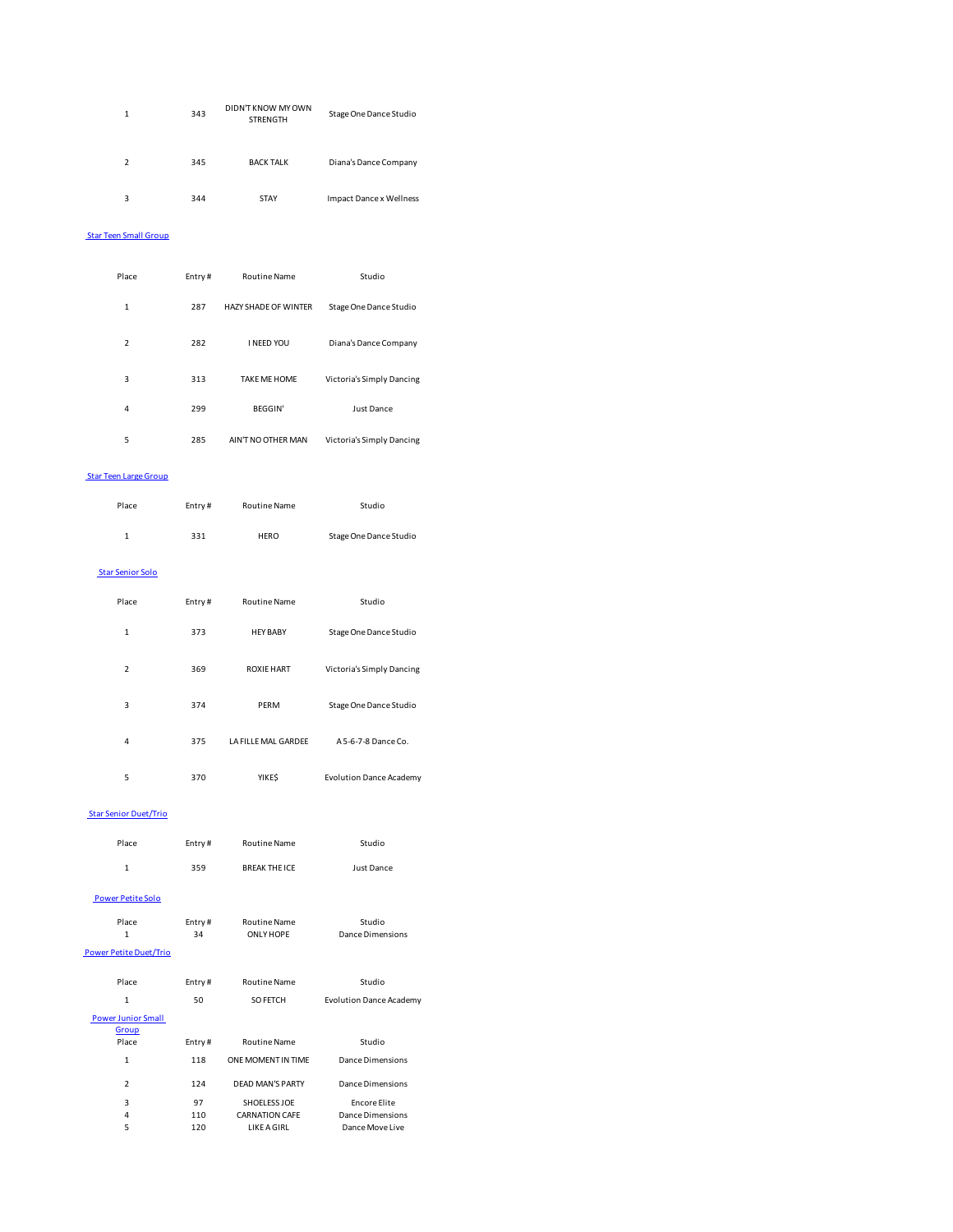| 1             | 343 | DIDN'T KNOW MY OWN<br><b>STRENGTH</b> | Stage One Dance Studio  |
|---------------|-----|---------------------------------------|-------------------------|
| $\mathcal{P}$ | 345 | <b>BACK TALK</b>                      | Diana's Dance Company   |
| 3             | 344 | <b>STAY</b>                           | Impact Dance x Wellness |

# Star Teen Small Group

| Place          | Entry# | <b>Routine Name</b>         | Studio                    |
|----------------|--------|-----------------------------|---------------------------|
| $\mathbf{1}$   | 287    | <b>HAZY SHADE OF WINTER</b> | Stage One Dance Studio    |
| $\overline{2}$ | 282    | <b>I NEED YOU</b>           | Diana's Dance Company     |
| 3              | 313    | <b>TAKE ME HOME</b>         | Victoria's Simply Dancing |
| 4              | 299    | <b>BEGGIN'</b>              | Just Dance                |
| 5              | 285    | AIN'T NO OTHER MAN          | Victoria's Simply Dancing |

#### Star Teen Large Group

| Place                   | Entry# | <b>Routine Name</b> | Studio                         |
|-------------------------|--------|---------------------|--------------------------------|
| $\mathbf{1}$            | 331    | <b>HERO</b>         | Stage One Dance Studio         |
| <b>Star Senior Solo</b> |        |                     |                                |
| Place                   | Entry# | <b>Routine Name</b> | Studio                         |
| $\mathbf{1}$            | 373    | <b>HEY BABY</b>     | Stage One Dance Studio         |
| $\overline{2}$          | 369    | <b>ROXIE HART</b>   | Victoria's Simply Dancing      |
| 3                       | 374    | PFRM                | Stage One Dance Studio         |
| 4                       | 375    | LA FILLE MAL GARDEE | A 5-6-7-8 Dance Co.            |
| 5                       | 370    | <b>YIKES</b>        | <b>Evolution Dance Academy</b> |

## Star Senior Duet/Trio

| Place                              | Entry# | <b>Routine Name</b>       | Studio                         |
|------------------------------------|--------|---------------------------|--------------------------------|
| $\mathbf{1}$                       | 359    | <b>BREAK THE ICE</b>      | Just Dance                     |
| <b>Power Petite Solo</b>           |        |                           |                                |
| Place                              | Entry# | <b>Routine Name</b>       | Studio                         |
| $\mathbf{1}$                       | 34     | <b>ONLY HOPE</b>          | Dance Dimensions               |
| Power Petite Duet/Trio             |        |                           |                                |
| Place                              | Entry# | <b>Routine Name</b>       | Studio                         |
| $\mathbf{1}$                       | 50     | <b>SO FETCH</b>           | <b>Evolution Dance Academy</b> |
| <b>Power Junior Small</b><br>Group |        |                           |                                |
| Place                              | Entry# | <b>Routine Name</b>       | Studio                         |
| $\mathbf{1}$                       | 118    | <b>ONE MOMENT IN TIME</b> | Dance Dimensions               |
| $\overline{\phantom{a}}$           | 124    | <b>DEAD MAN'S PARTY</b>   | Dance Dimensions               |
| 3                                  | 97     | SHOELESS JOE              | <b>Encore Elite</b>            |
| 4                                  | 110    | <b>CARNATION CAFE</b>     | Dance Dimensions               |
| 5                                  | 120    | LIKE A GIRL               | Dance Move Live                |
|                                    |        |                           |                                |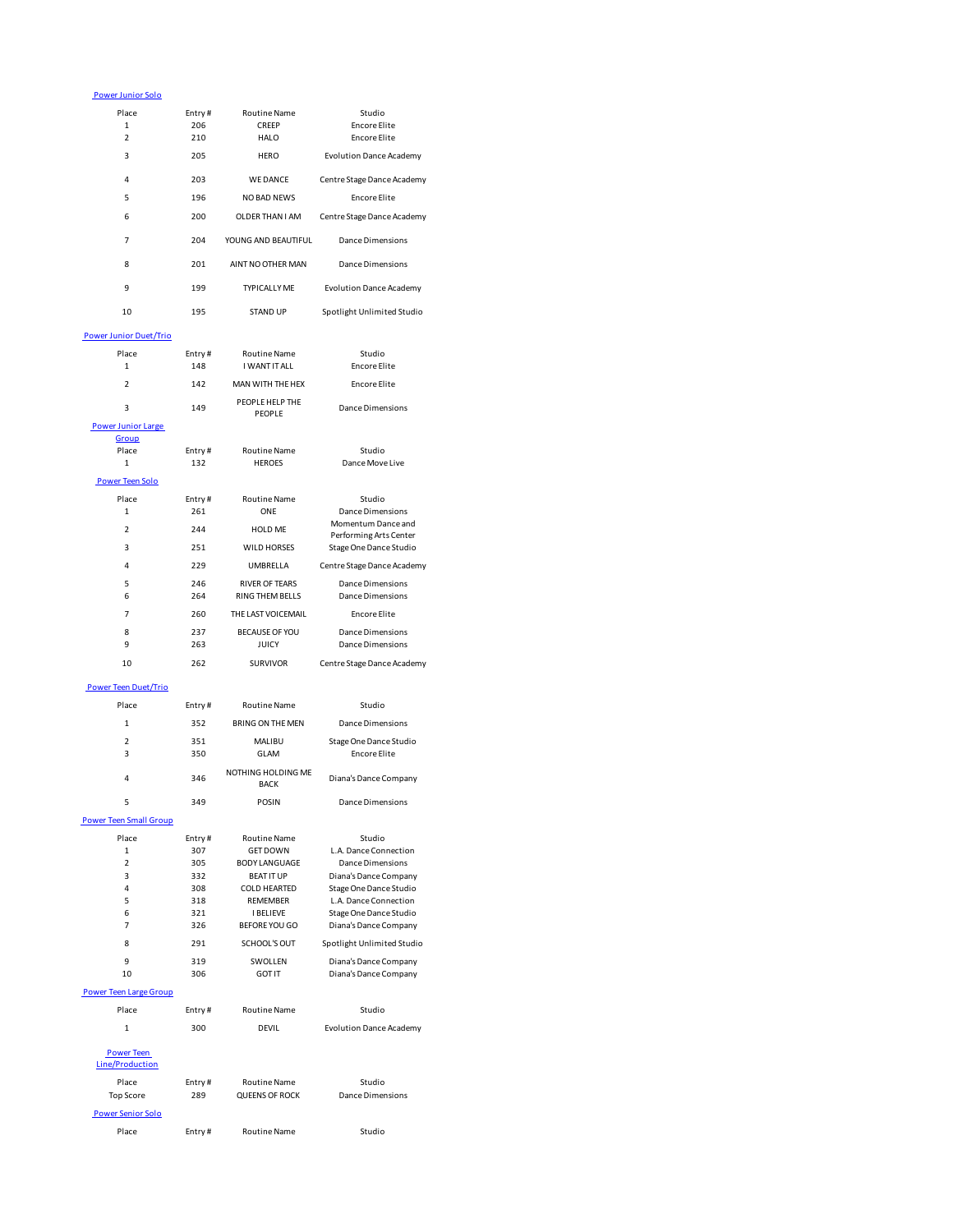## Power Junior Solo

| Place                                       | Entry#        | Routine Name                              | Studio                                           |
|---------------------------------------------|---------------|-------------------------------------------|--------------------------------------------------|
| 1                                           | 206           | CREEP                                     | <b>Encore Elite</b>                              |
| $\overline{2}$                              | 210           | <b>HALO</b>                               | <b>Encore Elite</b>                              |
| 3                                           | 205           | <b>HERO</b>                               | <b>Evolution Dance Academy</b>                   |
| 4                                           | 203           | <b>WE DANCE</b>                           | Centre Stage Dance Academy                       |
| 5                                           | 196           | <b>NO BAD NEWS</b>                        | <b>Encore Elite</b>                              |
| 6                                           | 200           | OLDER THAN I AM                           | Centre Stage Dance Academy                       |
| 7                                           | 204           | YOUNG AND BEAUTIFUL                       | Dance Dimensions                                 |
| 8                                           | 201           | AINT NO OTHER MAN                         | Dance Dimensions                                 |
| 9                                           | 199           | <b>TYPICALLY ME</b>                       | <b>Evolution Dance Academy</b>                   |
| 10                                          | 195           | <b>STAND UP</b>                           | Spotlight Unlimited Studio                       |
| Power Junior Duet/Trio                      |               |                                           |                                                  |
| Place<br>$\mathbf{1}$                       | Entry#<br>148 | <b>Routine Name</b><br>I WANT IT ALL      | Studio<br><b>Encore Elite</b>                    |
| $\overline{2}$                              | 142           | MAN WITH THE HEX                          | <b>Encore Elite</b>                              |
|                                             |               | PEOPLE HELP THE                           |                                                  |
| 3<br>Power Junior Large                     | 149           | PEOPLE                                    | Dance Dimensions                                 |
| Group                                       |               |                                           |                                                  |
| Place                                       | Entry#        | <b>Routine Name</b><br><b>HEROES</b>      | Studio                                           |
| $\mathbf{1}$                                | 132           |                                           | Dance Move Live                                  |
| <b>Power Teen Solo</b>                      |               |                                           |                                                  |
| Place<br>$\mathbf{1}$                       | Entry#<br>261 | <b>Routine Name</b><br>ONE                | Studio<br>Dance Dimensions                       |
| $\overline{2}$                              | 244           | HOLD ME                                   | Momentum Dance and                               |
| 3                                           | 251           | <b>WILD HORSES</b>                        | Performing Arts Center<br>Stage One Dance Studio |
| 4                                           | 229           | UMBRELLA                                  | Centre Stage Dance Academy                       |
| 5                                           | 246           | <b>RIVER OF TEARS</b>                     | <b>Dance Dimensions</b>                          |
| 6                                           | 264           | RING THEM BELLS                           | Dance Dimensions                                 |
| 7                                           | 260           | THE LAST VOICEMAIL                        | <b>Encore Elite</b>                              |
| 8                                           | 237           | <b>BECAUSE OF YOU</b>                     | Dance Dimensions                                 |
| 9<br>10                                     | 263<br>262    | <b>JUICY</b><br><b>SURVIVOR</b>           | Dance Dimensions<br>Centre Stage Dance Academy   |
|                                             |               |                                           |                                                  |
| Power Teen Duet/Trio                        |               |                                           |                                                  |
| Place                                       | Entry#        | <b>Routine Name</b>                       | Studio                                           |
| $\mathbf{1}$                                | 352           | <b>BRING ON THE MEN</b>                   | Dance Dimensions                                 |
| 2<br>3                                      | 351<br>350    | <b>MALIBU</b><br>GLAM                     | Stage One Dance Studio<br><b>Encore Elite</b>    |
| 4                                           | 346           | NOTHING HOLDING ME<br><b>BACK</b>         | Diana's Dance Company                            |
| 5                                           | 349           | POSIN                                     | Dance Dimensions                                 |
| <b>Power Teen Small Group</b>               |               |                                           |                                                  |
| Place                                       | Entry#        | Routine Name                              | Studio                                           |
| $\mathbf 1$                                 | 307           | <b>GET DOWN</b>                           | L.A. Dance Connection                            |
| $\overline{2}$<br>3                         | 305<br>332    | <b>BODY LANGUAGE</b><br><b>BEAT IT UP</b> | Dance Dimensions<br>Diana's Dance Company        |
| 4                                           | 308           | <b>COLD HEARTED</b>                       | Stage One Dance Studio                           |
| 5                                           | 318           | REMEMBER                                  | L.A. Dance Connection                            |
| 6<br>7                                      | 321<br>326    | <b>I BELIEVE</b><br><b>BEFORE YOU GO</b>  | Stage One Dance Studio<br>Diana's Dance Company  |
| 8                                           | 291           | SCHOOL'S OUT                              | Spotlight Unlimited Studio                       |
| 9                                           | 319           | SWOLLEN                                   | Diana's Dance Company                            |
| 10                                          | 306           | <b>GOT IT</b>                             | Diana's Dance Company                            |
| <b>Power Teen Large Group</b>               |               |                                           |                                                  |
| Place                                       | Entry#        | <b>Routine Name</b>                       | Studio                                           |
| 1                                           | 300           | DEVIL                                     | <b>Evolution Dance Academy</b>                   |
| <b>Power Teen</b><br><b>Line/Production</b> |               |                                           |                                                  |
| Place                                       | Entry#        | <b>Routine Name</b>                       | Studio                                           |
| <b>Top Score</b>                            | 289           | <b>QUEENS OF ROCK</b>                     | Dance Dimensions                                 |
| <b>Power Senior Solo</b>                    |               |                                           |                                                  |
| Place                                       | Entry#        | <b>Routine Name</b>                       | Studio                                           |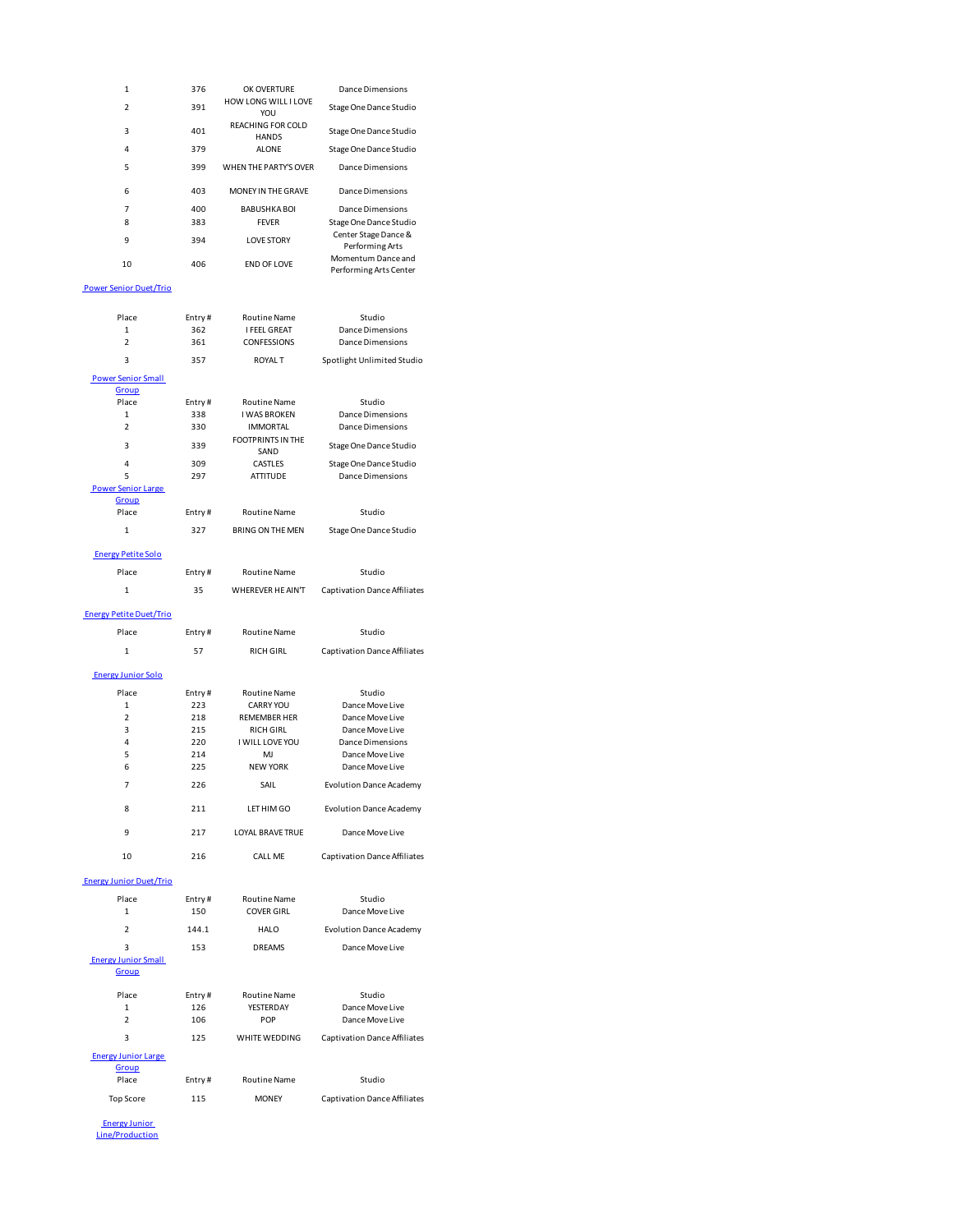| $\mathbf{1}$   | 376 | OK OVERTURE                        | Dance Dimensions                        |
|----------------|-----|------------------------------------|-----------------------------------------|
| $\overline{2}$ | 391 | <b>HOW LONG WILL I LOVE</b><br>YOU | Stage One Dance Studio                  |
| 3              | 401 | REACHING FOR COLD<br><b>HANDS</b>  | Stage One Dance Studio                  |
| 4              | 379 | <b>ALONE</b>                       | Stage One Dance Studio                  |
| 5              | 399 | WHEN THE PARTY'S OVER              | <b>Dance Dimensions</b>                 |
| 6              | 403 | MONEY IN THE GRAVE                 | Dance Dimensions                        |
| 7              | 400 | BABUSHKA BOL                       | Dance Dimensions                        |
| 8              | 383 | <b>FEVER</b>                       | Stage One Dance Studio                  |
|                |     |                                    |                                         |
| 9              | 394 | <b>LOVE STORY</b>                  | Center Stage Dance &<br>Performing Arts |

#### Power Senior Duet/Trio

| Place<br>1                          | Entry#<br>362 | <b>Routine Name</b><br><b>I FEEL GREAT</b>     | Studio<br>Dance Dimensions          |
|-------------------------------------|---------------|------------------------------------------------|-------------------------------------|
| $\overline{\mathbf{c}}$             | 361           | CONFESSIONS                                    | Dance Dimensions                    |
| 3                                   | 357           | <b>ROYAL T</b>                                 | Spotlight Unlimited Studio          |
| <b>Power Senior Small</b><br>Group  |               |                                                |                                     |
| Place                               | Entry#        | <b>Routine Name</b>                            | Studio                              |
| $\mathbf{1}$                        | 338           | <b>I WAS BROKEN</b>                            | Dance Dimensions                    |
| $\overline{2}$                      | 330           | <b>IMMORTAL</b>                                | Dance Dimensions                    |
| 3                                   | 339           | <b>FOOTPRINTS IN THE</b><br>SAND               | Stage One Dance Studio              |
| 4                                   | 309           | CASTLES                                        | Stage One Dance Studio              |
| 5                                   | 297           | <b>ATTITUDE</b>                                | Dance Dimensions                    |
| <b>Power Senior Large</b>           |               |                                                |                                     |
| Group                               |               |                                                |                                     |
| Place<br>$\mathbf{1}$               | Entry#<br>327 | <b>Routine Name</b><br><b>BRING ON THE MEN</b> | Studio                              |
|                                     |               |                                                | Stage One Dance Studio              |
| <b>Energy Petite Solo</b>           |               |                                                |                                     |
| Place                               | Entry#        | <b>Routine Name</b>                            | Studio                              |
| $\overline{1}$                      | 35            | WHEREVER HE AIN'T                              | <b>Captivation Dance Affiliates</b> |
| <b>Energy Petite Duet/Trio</b>      |               |                                                |                                     |
| Place                               | Entry#        | <b>Routine Name</b>                            | Studio                              |
| $\mathbf{1}$                        | 57            | RICH GIRL                                      | <b>Captivation Dance Affiliates</b> |
| <b>Energy Junior Solo</b>           |               |                                                |                                     |
| Place                               | Entry#        | <b>Routine Name</b>                            | Studio                              |
| 1                                   | 223           | <b>CARRY YOU</b>                               | Dance Move Live                     |
| $\overline{2}$                      | 218           | <b>REMEMBER HER</b>                            | Dance Move Live                     |
| 3                                   | 215           | <b>RICH GIRL</b>                               | Dance Move Live                     |
| 4                                   | 220           | I WILL LOVE YOU                                | Dance Dimensions                    |
| 5                                   | 214           | MJ                                             | Dance Move Live                     |
| 6                                   | 225           | <b>NEW YORK</b>                                | Dance Move Live                     |
| $\overline{7}$                      | 226           | SAIL                                           | <b>Evolution Dance Academy</b>      |
| $\mathbf{R}$                        | 211           | LET HIM GO                                     | <b>Evolution Dance Academy</b>      |
| 9                                   | 217           | LOYAL BRAVE TRUE                               | Dance Move Live                     |
| 10                                  | 216           | CALL ME                                        | <b>Captivation Dance Affiliates</b> |
| <b>Energy Junior Duet/Trio</b>      |               |                                                |                                     |
| Place                               | Entry#        | <b>Routine Name</b>                            | Studio                              |
| $\mathbf 1$                         | 150           | <b>COVER GIRL</b>                              | Dance Move Live                     |
| $\overline{2}$                      | 144.1         | <b>HALO</b>                                    | <b>Evolution Dance Academy</b>      |
| 3                                   | 153           | <b>DREAMS</b>                                  | Dance Move Live                     |
| <b>Energy Junior Small</b>          |               |                                                |                                     |
| Group                               |               |                                                |                                     |
| Place                               | Entry#        | <b>Routine Name</b>                            | Studio                              |
| $\mathbf{1}$                        | 126           | YESTERDAY                                      | Dance Move Live                     |
| $\overline{2}$                      | 106           | POP                                            | Dance Move Live                     |
| 3                                   | 125           | WHITE WEDDING                                  | <b>Captivation Dance Affiliates</b> |
| <b>Energy Junior Large</b><br>Group |               |                                                |                                     |
| Place                               | Entry#        | <b>Routine Name</b>                            | Studio                              |
|                                     |               |                                                |                                     |
| <b>Top Score</b>                    | 115           | <b>MONEY</b>                                   | <b>Captivation Dance Affiliates</b> |

**Energy Junior**<br> **Line/Production**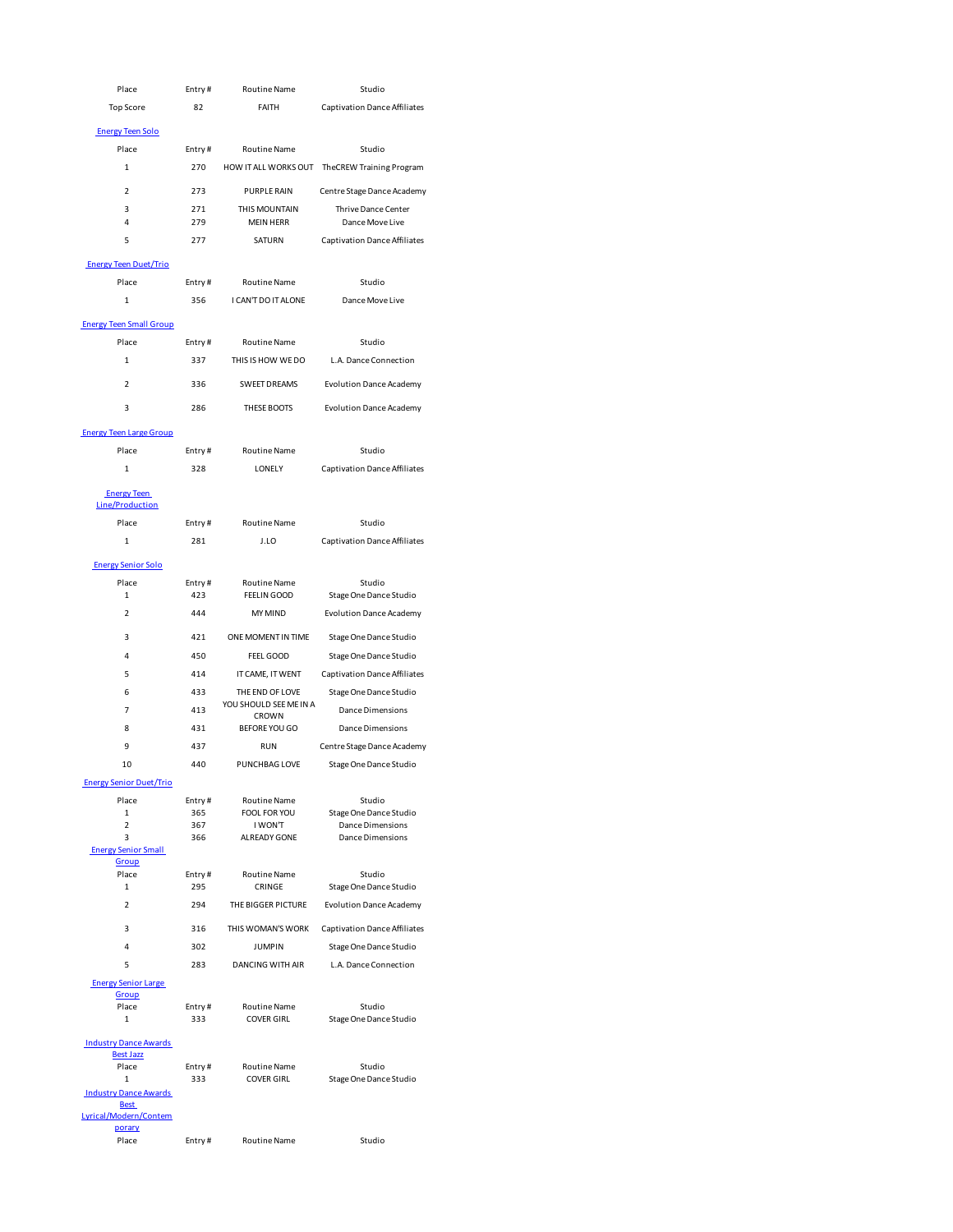| Place                                       | Entry#        | <b>Routine Name</b>                       | Studio                               |
|---------------------------------------------|---------------|-------------------------------------------|--------------------------------------|
| <b>Top Score</b>                            | 82            | <b>FAITH</b>                              | <b>Captivation Dance Affiliates</b>  |
| <b>Energy Teen Solo</b>                     |               |                                           |                                      |
|                                             |               |                                           |                                      |
| Place                                       | Entry#        | <b>Routine Name</b>                       | Studio                               |
| 1                                           | 270           | HOW IT ALL WORKS OUT                      | TheCREW Training Program             |
| 2                                           | 273           | <b>PURPLE RAIN</b>                        | Centre Stage Dance Academy           |
| 3                                           | 271           | THIS MOUNTAIN                             | Thrive Dance Center                  |
| 4                                           | 279           | <b>MEIN HERR</b>                          | Dance Move Live                      |
| 5                                           | 277           | SATURN                                    | <b>Captivation Dance Affiliates</b>  |
| <b>Energy Teen Duet/Trio</b>                |               |                                           |                                      |
| Place                                       | Entry#        | <b>Routine Name</b>                       | Studio                               |
| 1                                           | 356           | I CAN'T DO IT ALONE                       | Dance Move Live                      |
|                                             |               |                                           |                                      |
| <b>Energy Teen Small Group</b>              |               |                                           |                                      |
| Place                                       | Entry#        | Routine Name                              | Studio                               |
| $\mathbf{1}$                                | 337           | THIS IS HOW WE DO                         | L.A. Dance Connection                |
| 2                                           | 336           | <b>SWEET DREAMS</b>                       | <b>Evolution Dance Academy</b>       |
| 3                                           | 286           | THESE BOOTS                               | <b>Evolution Dance Academy</b>       |
|                                             |               |                                           |                                      |
| <b>Energy Teen Large Group</b>              |               |                                           |                                      |
| Place                                       | Entry#        | Routine Name                              | Studio                               |
| 1                                           | 328           | LONELY                                    | <b>Captivation Dance Affiliates</b>  |
| <b>Energy Teen</b>                          |               |                                           |                                      |
| Line/Production                             |               |                                           |                                      |
| Place                                       | Entry#        | <b>Routine Name</b>                       | Studio                               |
| 1                                           | 281           | J.LO                                      | <b>Captivation Dance Affiliates</b>  |
|                                             |               |                                           |                                      |
| <b>Energy Senior Solo</b>                   |               |                                           |                                      |
| Place<br>$\mathbf{1}$                       | Entry#<br>423 | <b>Routine Name</b><br><b>FEELIN GOOD</b> | Studio<br>Stage One Dance Studio     |
| 2                                           | 444           | MY MIND                                   | <b>Evolution Dance Academy</b>       |
|                                             |               |                                           |                                      |
| 3                                           | 421           | ONE MOMENT IN TIME                        | Stage One Dance Studio               |
| 4                                           | 450           | FEEL GOOD                                 | Stage One Dance Studio               |
| 5                                           | 414           | IT CAME, IT WENT                          | Captivation Dance Affiliates         |
| 6                                           | 433           | THE END OF LOVE                           | Stage One Dance Studio               |
| 7                                           | 413           | YOU SHOULD SEE ME IN A<br>CROWN           | Dance Dimensions                     |
| 8                                           | 431           | <b>BEFORE YOU GO</b>                      | <b>Dance Dimensions</b>              |
| 9                                           | 437           | RUN                                       | Centre Stage Dance Academy           |
| 10                                          | 440           | PUNCHBAG LOVE                             | Stage One Dance Studio               |
| <b>Energy Senior Duet/Trio</b>              |               |                                           |                                      |
| Place                                       | Entry#        | <b>Routine Name</b>                       | Studio                               |
| 1                                           | 365           | FOOL FOR YOU                              | Stage One Dance Studio               |
| $\overline{\mathbf{c}}$<br>3                | 367<br>366    | I WON'T<br>ALREADY GONE                   | Dance Dimensions<br>Dance Dimensions |
| <b>Energy Senior Small</b>                  |               |                                           |                                      |
| Group<br>Place                              |               |                                           | Studio                               |
| 1                                           | Entry#<br>295 | Routine Name<br>CRINGE                    | Stage One Dance Studio               |
| $\overline{2}$                              | 294           | THE BIGGER PICTURE                        | <b>Evolution Dance Academy</b>       |
|                                             |               |                                           |                                      |
| 3                                           | 316           | THIS WOMAN'S WORK                         | <b>Captivation Dance Affiliates</b>  |
| 4                                           | 302           | <b>JUMPIN</b>                             | Stage One Dance Studio               |
| 5                                           | 283           | <b>DANCING WITH AIR</b>                   | L.A. Dance Connection                |
| <b>Energy Senior Large</b>                  |               |                                           |                                      |
| Group<br>Place                              | Entry#        | Routine Name                              | Studio                               |
| 1                                           | 333           | <b>COVER GIRL</b>                         | Stage One Dance Studio               |
| <b>Industry Dance Awards</b>                |               |                                           |                                      |
| <b>Best Jazz</b>                            |               |                                           |                                      |
| Place<br>$\mathbf{1}$                       | Entry#<br>333 | Routine Name<br><b>COVER GIRL</b>         | Studio<br>Stage One Dance Studio     |
| <b>Industry Dance Awards</b>                |               |                                           |                                      |
| <b>Best</b><br><b>Lyrical/Modern/Contem</b> |               |                                           |                                      |
| porary                                      |               |                                           |                                      |
| Place                                       | Entry#        | Routine Name                              | Studio                               |